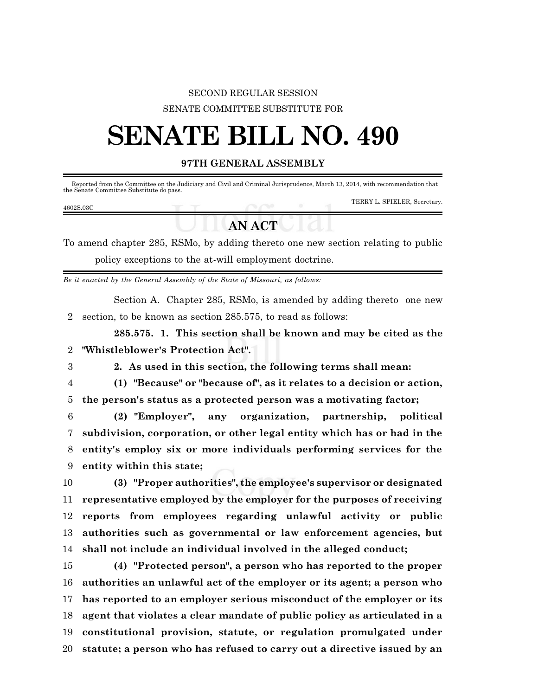## SECOND REGULAR SESSION SENATE COMMITTEE SUBSTITUTE FOR

# **SENATE BILL NO. 490**

### **97TH GENERAL ASSEMBLY**

 Reported from the Committee on the Judiciary and Civil and Criminal Jurisprudence, March 13, 2014, with recommendation that the Senate Committee Substitute do pass.

#### 4602S.03C

TERRY L. SPIELER, Secretary.

## **AN ACT**

To amend chapter 285, RSMo, by adding thereto one new section relating to public policy exceptions to the at-will employment doctrine.

*Be it enacted by the General Assembly of the State of Missouri, as follows:*

Section A. Chapter 285, RSMo, is amended by adding thereto one new 2 section, to be known as section 285.575, to read as follows:

**285.575. 1. This section shall be known and may be cited as the** 2 **"Whistleblower's Protection Act".**

- 
- 3 **2. As used in this section, the following terms shall mean:**

4 **(1) "Because" or "because of", as it relates to a decision or action,** 5 **the person's status as a protected person was a motivating factor;**

 **(2) "Employer", any organization, partnership, political subdivision, corporation, or other legal entity which has or had in the entity's employ six or more individuals performing services for the entity within this state;**

 **(3) "Proper authorities", the employee's supervisor or designated representative employed by the employer for the purposes of receiving reports from employees regarding unlawful activity or public authorities such as governmental or law enforcement agencies, but shall not include an individual involved in the alleged conduct;**

 **(4) "Protected person", a person who has reported to the proper authorities an unlawful act of the employer or its agent; a person who has reported to an employer serious misconduct of the employer or its agent that violates a clear mandate of public policy as articulated in a constitutional provision, statute, or regulation promulgated under statute; a person who has refused to carry out a directive issued by an**